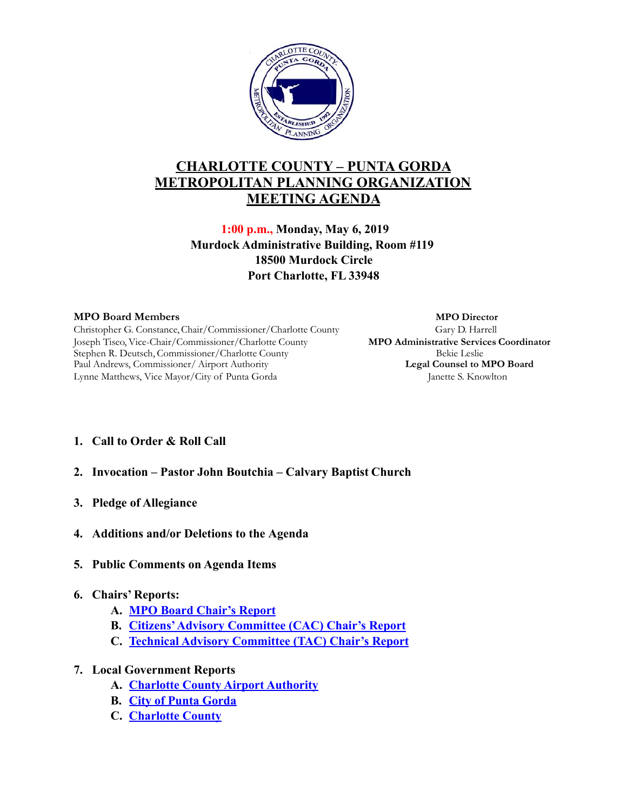

# **CHARLOTTE COUNTY – PUNTA GORDA METROPOLITAN PLANNING ORGANIZATION MEETING AGENDA**

**1:00 p.m., Monday, May 6, 2019 Murdock Administrative Building, Room #119 18500 Murdock Circle Port Charlotte, FL 33948** 

Christopher G. Constance,Chair/Commissioner/Charlotte County Gary D. Harrell Joseph Tiseo, Vice-Chair/Commissioner/Charlotte County **MPO Administrative Services Coordinator**  Stephen R. Deutsch, Commissioner/Charlotte County Bekie Leslie Paul Andrews, Commissioner/ Airport Authority **Legal Counsel to MPO Board**  Lynne Matthews, Vice Mayor/City of Punta Gorda Janette S. Knowlton

**MPO Board Members MPO Director** 

- **1. Call to Order & Roll Call**
- **2. Invocation Pastor John Boutchia Calvary Baptist Church**
- **3. Pledge of Allegiance**
- **4. Additions and/or Deletions to the Agenda**
- **5. Public Comments on Agenda Items**
- **6. Chairs' Reports:** 
	- **A. [MPO Board Chair's Report](https://ccmpo.com/wp/attachments/article/MPO_Board_May_2019/6a.pdf)**
	- **B. [Citizens' Advisory Committee \(CAC\) Chair's Report](https://ccmpo.com/wp/attachments/article/MPO_Board_May_2019/6b.pdf)**
	- **C. [Technical Advisory Committee \(TAC\) Chair's Report](https://ccmpo.com/wp/attachments/article/MPO_Board_May_2019/6c.pdf)**

#### **7. Local Government Reports**

- **A. [Charlotte County Airport Authority](https://ccmpo.com/wp/attachments/article/MPO_Board_May_2019/7a.pdf)**
- **B. [City of Punta Gorda](https://ccmpo.com/wp/attachments/article/MPO_Board_May_2019/7b.pdf)**
- **C. [Charlotte County](https://ccmpo.com/wp/attachments/article/MPO_Board_May_2019/7c.pdf)**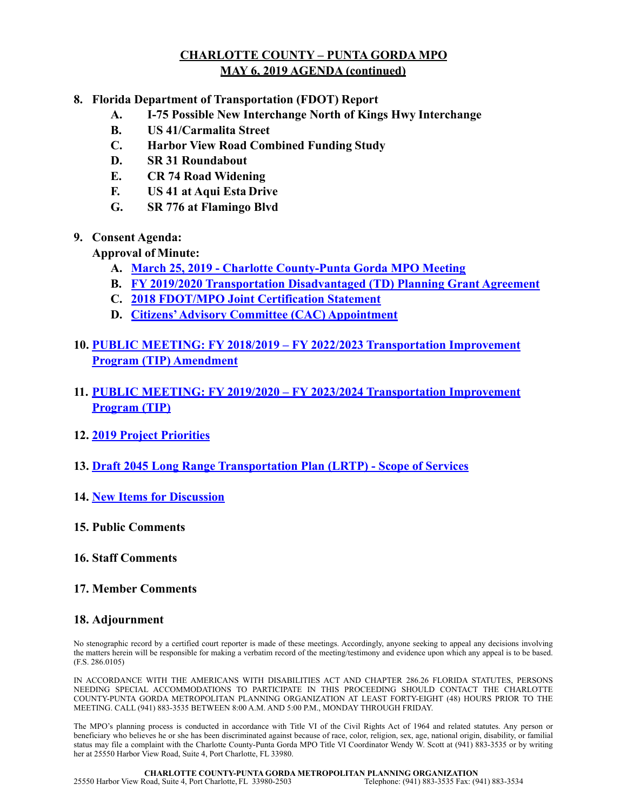## **CHARLOTTE COUNTY – PUNTA GORDA MPO MAY 6, 2019 AGENDA (continued)**

- **8. Florida Department of Transportation (FDOT) Report** 
	- **A. I-75 Possible New Interchange North of Kings Hwy Interchange**
	- **B. US 41/Carmalita Street**
	- **C. Harbor View Road Combined Funding Study**
	- **D. SR 31 Roundabout**
	- **E. CR 74 Road Widening**
	- **F. US 41 at Aqui Esta Drive**
	- **G. SR 776 at Flamingo Blvd**
- **9. Consent Agenda:**

**Approval of Minute:** 

- **A. [March 25, 2019 Charlotte County-Punta Gorda MPO Meeting](https://ccmpo.com/wp/attachments/article/MPO_Board_May_2019/9a.pdf)**
- **B. [FY 2019/2020 Transportation Disadvantaged \(TD\) Planning Grant Agreement](https://ccmpo.com/wp/attachments/article/MPO_Board_May_2019/9b.pdf)**
- **C. [2018 FDOT/MPO Joint Certification Statement](https://ccmpo.com/wp/attachments/article/MPO_Board_May_2019/9c.pdf)**
- **D. [Citizens' Advisory Committee \(CAC\) Appointment](https://ccmpo.com/wp/attachments/article/MPO_Board_May_2019/9d.pdf)**
- **10. [PUBLIC MEETING: FY 2018/2019 FY 2022/2023 Transportation Improvement](https://ccmpo.com/wp/attachments/article/MPO_Board_May_2019/10.pdf)  [Program \(TIP\) Amendment](https://ccmpo.com/wp/attachments/article/MPO_Board_May_2019/10.pdf)**
- **11. [PUBLIC MEETING: FY 2019/2020 FY 2023/2024 Transportation Improvement](https://ccmpo.com/wp/attachments/article/MPO_Board_May_2019/11.pdf)  [Program \(TIP\)](https://ccmpo.com/wp/attachments/article/MPO_Board_May_2019/11.pdf)**
- **12. [2019 Project Priorities](https://ccmpo.com/wp/attachments/article/MPO_Board_May_2019/12.pdf)**
- **13. [Draft 2045 Long Range Transportation Plan \(LRTP\) Scope of Services](https://ccmpo.com/wp/attachments/article/MPO_Board_May_2019/13.pdf)**
- **14. [New Items for Discussion](https://ccmpo.com/wp/attachments/article/MPO_Board_May_2019/14.pdf)**
- **15. Public Comments**
- **16. Staff Comments**
- **17. Member Comments**

#### **18. Adjournment**

No stenographic record by a certified court reporter is made of these meetings. Accordingly, anyone seeking to appeal any decisions involving the matters herein will be responsible for making a verbatim record of the meeting/testimony and evidence upon which any appeal is to be based. (F.S. 286.0105)

IN ACCORDANCE WITH THE AMERICANS WITH DISABILITIES ACT AND CHAPTER 286.26 FLORIDA STATUTES, PERSONS NEEDING SPECIAL ACCOMMODATIONS TO PARTICIPATE IN THIS PROCEEDING SHOULD CONTACT THE CHARLOTTE COUNTY-PUNTA GORDA METROPOLITAN PLANNING ORGANIZATION AT LEAST FORTY-EIGHT (48) HOURS PRIOR TO THE MEETING. CALL (941) 883-3535 BETWEEN 8:00 A.M. AND 5:00 P.M., MONDAY THROUGH FRIDAY.

The MPO's planning process is conducted in accordance with Title VI of the Civil Rights Act of 1964 and related statutes. Any person or beneficiary who believes he or she has been discriminated against because of race, color, religion, sex, age, national origin, disability, or familial status may file a complaint with the Charlotte County-Punta Gorda MPO Title VI Coordinator Wendy W. Scott at (941) 883-3535 or by writing her at 25550 Harbor View Road, Suite 4, Port Charlotte, FL 33980.